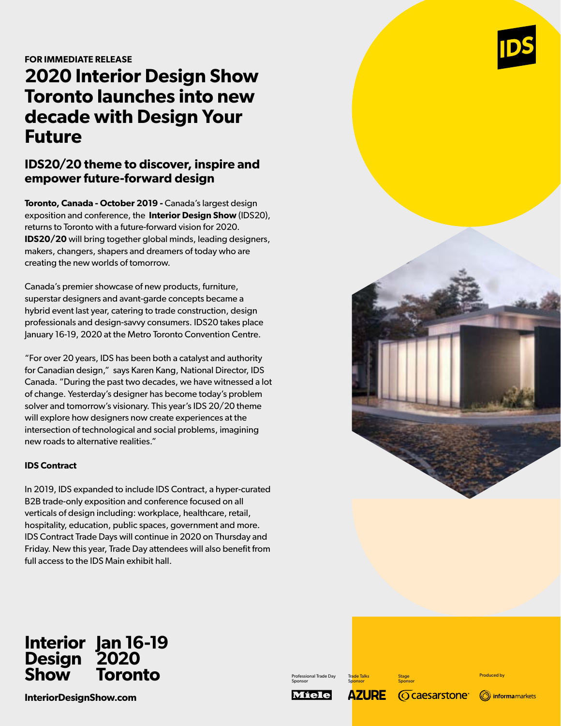## **FOR IMMEDIATE RELEASE**

# **2020 Interior Design Show Toronto launches into new decade with Design Your Future**

## **IDS20/20 theme to discover, inspire and empower future-forward design**

**Toronto, Canada - October 2019 - Canada's largest design** exposition and conference, the **Interior Design Show** (IDS20), returns to Toronto with a future-forward vision for 2020. **IDS20/20** will bring together global minds, leading designers, makers, changers, shapers and dreamers of today who are creating the new worlds of tomorrow.

Canada's premier showcase of new products, furniture, superstar designers and avant-garde concepts became a hybrid event last year, catering to trade construction, design professionals and design-savvy consumers. IDS20 takes place January 16-19, 2020 at the Metro Toronto Convention Centre.

"For over 20 years, IDS has been both a catalyst and authority for Canadian design," says Karen Kang, National Director, IDS Canada. "During the past two decades, we have witnessed a lot of change. Yesterday's designer has become today's problem solver and tomorrow's visionary. This year's IDS 20/20 theme will explore how designers now create experiences at the intersection of technological and social problems, imagining new roads to alternative realities."

### **IDS Contract**

In 2019, IDS expanded to include IDS Contract, a hyper-curated B2B trade-only exposition and conference focused on all verticals of design including: workplace, healthcare, retail, hospitality, education, public spaces, government and more. IDS Contract Trade Days will continue in 2020 on Thursday and Friday. New this year, Trade Day attendees will also benefit from full access to the IDS Main exhibit hall.



#### **Interior Design Show Jan 16-19 2020 Toronto**

**InteriorDesignShow.com**

Professional Trade Day Sponsor

**Sponsor** 

Trade Talks

**AZURE** Miele

Sponsor

**Stage** 

Produced by



**Ocaesarstone**®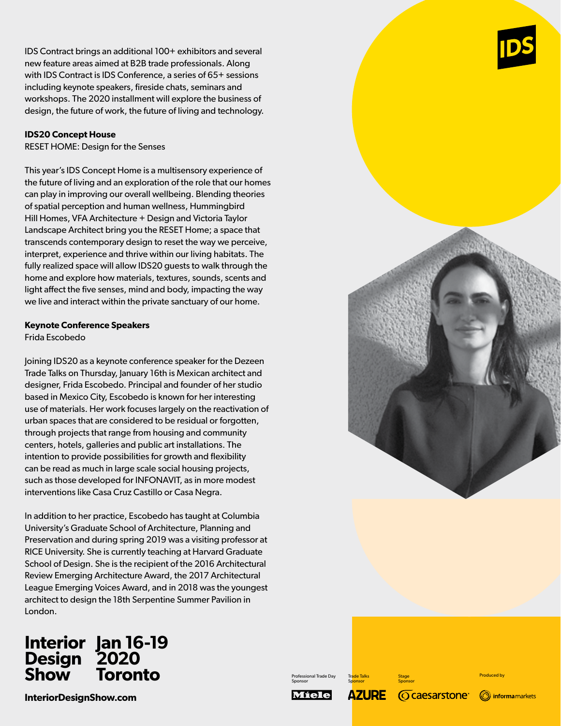IDS Contract brings an additional 100+ exhibitors and several new feature areas aimed at B2B trade professionals. Along with IDS Contract is IDS Conference, a series of 65+ sessions including keynote speakers, fireside chats, seminars and workshops. The 2020 installment will explore the business of design, the future of work, the future of living and technology.

#### **IDS20 Concept House**

RESET HOME: Design for the Senses

This year's IDS Concept Home is a multisensory experience of the future of living and an exploration of the role that our homes can play in improving our overall wellbeing. Blending theories of spatial perception and human wellness, Hummingbird Hill Homes, VFA Architecture + Design and Victoria Taylor Landscape Architect bring you the RESET Home; a space that transcends contemporary design to reset the way we perceive, interpret, experience and thrive within our living habitats. The fully realized space will allow IDS20 guests to walk through the home and explore how materials, textures, sounds, scents and light affect the five senses, mind and body, impacting the way we live and interact within the private sanctuary of our home.

#### **Keynote Conference Speakers**

Frida Escobedo

Joining IDS20 as a keynote conference speaker for the Dezeen Trade Talks on Thursday, January 16th is Mexican architect and designer, Frida Escobedo. Principal and founder of her studio based in Mexico City, Escobedo is known for her interesting use of materials. Her work focuses largely on the reactivation of urban spaces that are considered to be residual or forgotten, through projects that range from housing and community centers, hotels, galleries and public art installations. The intention to provide possibilities for growth and flexibility can be read as much in large scale social housing projects, such as those developed for INFONAVIT, as in more modest interventions like Casa Cruz Castillo or Casa Negra.

In addition to her practice, Escobedo has taught at Columbia University's Graduate School of Architecture, Planning and Preservation and during spring 2019 was a visiting professor at RICE University. She is currently teaching at Harvard Graduate School of Design. She is the recipient of the 2016 Architectural Review Emerging Architecture Award, the 2017 Architectural League Emerging Voices Award, and in 2018 was the youngest architect to design the 18th Serpentine Summer Pavilion in London.

#### **Interior Design Show Jan 16-19 2020 Toronto**

Professional Trade Day Sponsor Míele

Trade Talks **Sponsor** 

**Stage** Sponsor Produced by

**InteriorDesignShow.com**

**AZURE** *<u>Ocaesarstone</u>* 

(O) informamarkets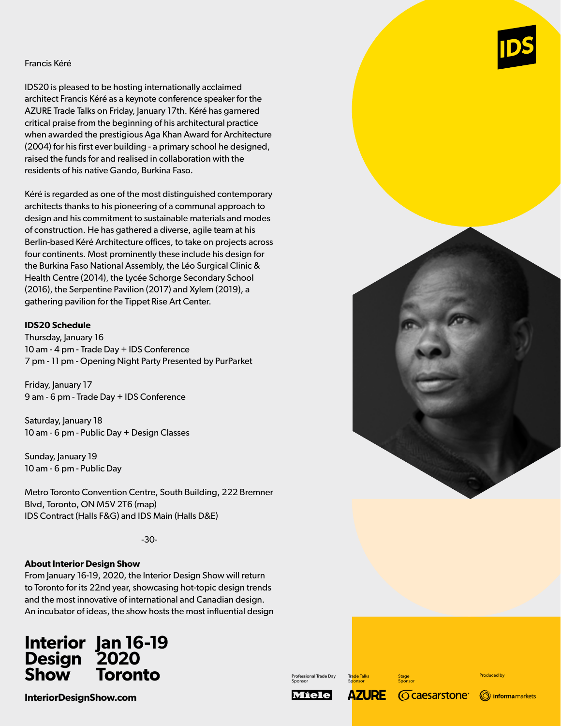#### Francis Kéré

IDS20 is pleased to be hosting internationally acclaimed architect Francis Kéré as a keynote conference speaker for the AZURE Trade Talks on Friday, January 17th. Kéré has garnered critical praise from the beginning of his architectural practice when awarded the prestigious Aga Khan Award for Architecture (2004) for his first ever building - a primary school he designed, raised the funds for and realised in collaboration with the residents of his native Gando, Burkina Faso.

Kéré is regarded as one of the most distinguished contemporary architects thanks to his pioneering of a communal approach to design and his commitment to sustainable materials and modes of construction. He has gathered a diverse, agile team at his Berlin-based Kéré Architecture offices, to take on projects across four continents. Most prominently these include his design for the Burkina Faso National Assembly, the Léo Surgical Clinic & Health Centre (2014), the Lycée Schorge Secondary School (2016), the Serpentine Pavilion (2017) and Xylem (2019), a gathering pavilion for the Tippet Rise Art Center.

#### **IDS20 Schedule**

Thursday, January 16 10 am - 4 pm - Trade Day + IDS Conference 7 pm - 11 pm - Opening Night Party Presented by PurParket

Friday, January 17 9 am - 6 pm - Trade Day + IDS Conference

Saturday, January 18 10 am - 6 pm - Public Day + Design Classes

Sunday, January 19 10 am - 6 pm - Public Day

Metro Toronto Convention Centre, South Building, 222 Bremner Blvd, Toronto, ON M5V 2T6 (map) IDS Contract (Halls F&G) and IDS Main (Halls D&E)

#### -30-

#### **About Interior Design Show**

From January 16-19, 2020, the Interior Design Show will return to Toronto for its 22nd year, showcasing hot-topic design trends and the most innovative of international and Canadian design. An incubator of ideas, the show hosts the most influential design

#### **Interior Design Show Jan 16-19 2020 Toronto**

**InteriorDesignShow.com**





**Stage** 

Trade Talks **Sponsor** 

**AZURE** 

Sponsor

**Ocaesarstone**®

Produced by

(O) informamarkets